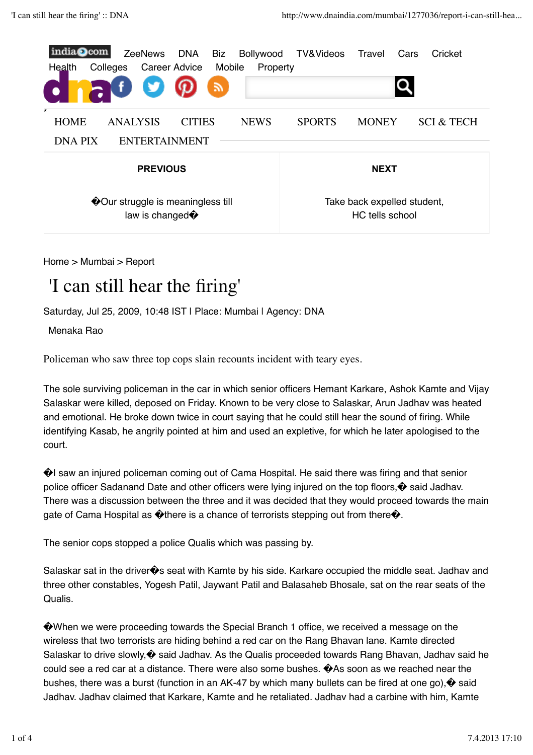

Home > Mumbai > Report

## 'I can still hear the firing'

Saturday, Jul 25, 2009, 10:48 IST I Place: Mumbai I Agency: DNA

Menaka Rao

Policeman who saw three top cops slain recounts incident with teary eyes.

The sole surviving policeman in the car in which senior officers Hemant Karkare, Ashok Kamte and Vijay Salaskar were killed, deposed on Friday. Known to be very close to Salaskar, Arun Jadhav was heated and emotional. He broke down twice in court saying that he could still hear the sound of firing. While identifying Kasab, he angrily pointed at him and used an expletive, for which he later apologised to the court.

�I saw an injured policeman coming out of Cama Hospital. He said there was firing and that senior police officer Sadanand Date and other officers were lying injured on the top floors,  $\hat{\mathbf{\bullet}}$  said Jadhav. There was a discussion between the three and it was decided that they would proceed towards the main gate of Cama Hospital as  $\bigcirc$  there is a chance of terrorists stepping out from there  $\bigcirc$ .

The senior cops stopped a police Qualis which was passing by.

Salaskar sat in the driver $\bullet$ s seat with Kamte by his side. Karkare occupied the middle seat. Jadhav and three other constables, Yogesh Patil, Jaywant Patil and Balasaheb Bhosale, sat on the rear seats of the Qualis.

�When we were proceeding towards the Special Branch 1 office, we received a message on the wireless that two terrorists are hiding behind a red car on the Rang Bhavan lane. Kamte directed Salaskar to drive slowly, $\hat{\mathbf{\Theta}}$  said Jadhav. As the Qualis proceeded towards Rang Bhavan, Jadhav said he could see a red car at a distance. There were also some bushes. �As soon as we reached near the bushes, there was a burst (function in an AK-47 by which many bullets can be fired at one go),� said Jadhav. Jadhav claimed that Karkare, Kamte and he retaliated. Jadhav had a carbine with him, Kamte